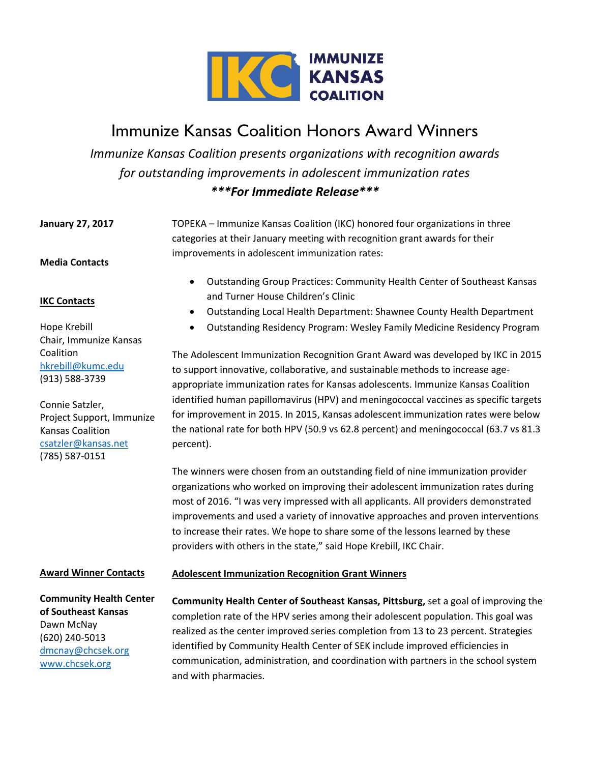

# Immunize Kansas Coalition Honors Award Winners

*Immunize Kansas Coalition presents organizations with recognition awards for outstanding improvements in adolescent immunization rates \*\*\*For Immediate Release\*\*\**

**January 27, 2017 Media Contacts**  TOPEKA – Immunize Kansas Coalition (IKC) honored four organizations in three categories at their January meeting with recognition grant awards for their improvements in adolescent immunization rates:

## **IKC Contacts**

Hope Krebill Chair, Immunize Kansas Coalition [hkrebill@kumc.edu](mailto:hkrebill@kumc.edu) (913) 588-3739

Connie Satzler, Project Support, Immunize Kansas Coalition [csatzler@kansas.net](mailto:csatzler@kansas.net) (785) 587-0151

- Outstanding Group Practices: Community Health Center of Southeast Kansas and Turner House Children's Clinic
- Outstanding Local Health Department: Shawnee County Health Department
- Outstanding Residency Program: Wesley Family Medicine Residency Program

The Adolescent Immunization Recognition Grant Award was developed by IKC in 2015 to support innovative, collaborative, and sustainable methods to increase ageappropriate immunization rates for Kansas adolescents. Immunize Kansas Coalition identified human papillomavirus (HPV) and meningococcal vaccines as specific targets for improvement in 2015. In 2015, Kansas adolescent immunization rates were below the national rate for both HPV (50.9 vs 62.8 percent) and meningococcal (63.7 vs 81.3 percent).

The winners were chosen from an outstanding field of nine immunization provider organizations who worked on improving their adolescent immunization rates during most of 2016. "I was very impressed with all applicants. All providers demonstrated improvements and used a variety of innovative approaches and proven interventions to increase their rates. We hope to share some of the lessons learned by these providers with others in the state," said Hope Krebill, IKC Chair.

#### **Award Winner Contacts**

**Community Health Center of Southeast Kansas** Dawn McNay (620) 240-5013 [dmcnay@chcsek.org](mailto:dmcnay@chcsek.org) [www.chcsek.org](http://www.chcsek.org/) 

### **Adolescent Immunization Recognition Grant Winners**

**Community Health Center of Southeast Kansas, Pittsburg,** set a goal of improving the completion rate of the HPV series among their adolescent population. This goal was realized as the center improved series completion from 13 to 23 percent. Strategies identified by Community Health Center of SEK include improved efficiencies in communication, administration, and coordination with partners in the school system and with pharmacies.